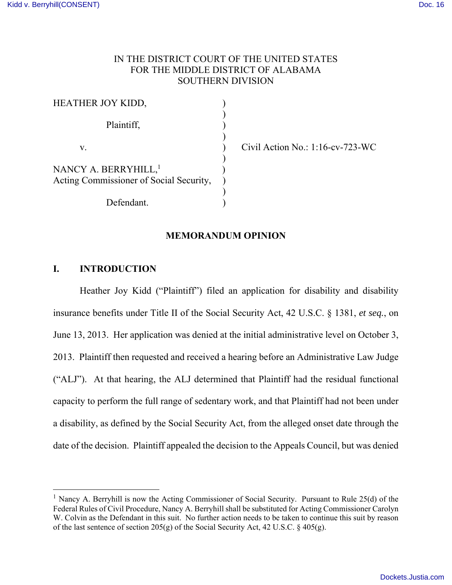# IN THE DISTRICT COURT OF THE UNITED STATES FOR THE MIDDLE DISTRICT OF ALABAMA SOUTHERN DIVISION

| HEATHER JOY KIDD,                       |  |
|-----------------------------------------|--|
|                                         |  |
| Plaintiff,                              |  |
|                                         |  |
| V.                                      |  |
|                                         |  |
| NANCY A. BERRYHILL, <sup>1</sup>        |  |
| Acting Commissioner of Social Security, |  |
|                                         |  |
| Defendant.                              |  |

Civil Action No.:  $1:16$ -cv-723-WC

### **MEMORANDUM OPINION**

## **I. INTRODUCTION**

 $\overline{a}$ 

 Heather Joy Kidd ("Plaintiff") filed an application for disability and disability insurance benefits under Title II of the Social Security Act, 42 U.S.C. § 1381, *et seq.*, on June 13, 2013. Her application was denied at the initial administrative level on October 3, 2013. Plaintiff then requested and received a hearing before an Administrative Law Judge ("ALJ"). At that hearing, the ALJ determined that Plaintiff had the residual functional capacity to perform the full range of sedentary work, and that Plaintiff had not been under a disability, as defined by the Social Security Act, from the alleged onset date through the date of the decision. Plaintiff appealed the decision to the Appeals Council, but was denied

<sup>&</sup>lt;sup>1</sup> Nancy A. Berryhill is now the Acting Commissioner of Social Security. Pursuant to Rule 25(d) of the Federal Rules of Civil Procedure, Nancy A. Berryhill shall be substituted for Acting Commissioner Carolyn W. Colvin as the Defendant in this suit. No further action needs to be taken to continue this suit by reason of the last sentence of section 205(g) of the Social Security Act, 42 U.S.C. § 405(g).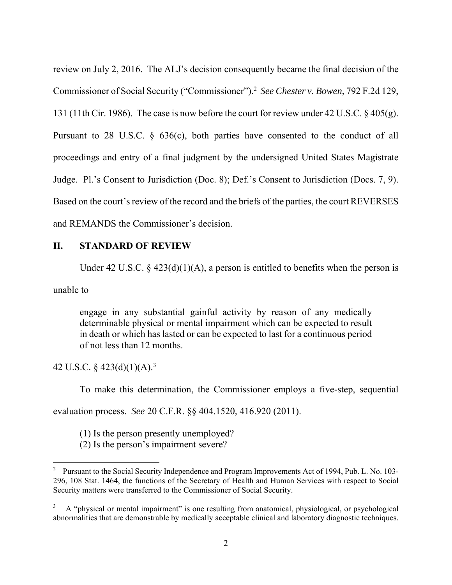review on July 2, 2016. The ALJ's decision consequently became the final decision of the Commissioner of Social Security ("Commissioner").<sup>2</sup> *See Chester v. Bowen*, 792 F.2d 129, 131 (11th Cir. 1986). The case is now before the court for review under 42 U.S.C. § 405(g). Pursuant to 28 U.S.C. § 636(c), both parties have consented to the conduct of all proceedings and entry of a final judgment by the undersigned United States Magistrate Judge. Pl.'s Consent to Jurisdiction (Doc. 8); Def.'s Consent to Jurisdiction (Docs. 7, 9). Based on the court's review of the record and the briefs of the parties, the court REVERSES and REMANDS the Commissioner's decision.

## **II. STANDARD OF REVIEW**

Under 42 U.S.C. § 423(d)(1)(A), a person is entitled to benefits when the person is

unable to

 $\overline{a}$ 

engage in any substantial gainful activity by reason of any medically determinable physical or mental impairment which can be expected to result in death or which has lasted or can be expected to last for a continuous period of not less than 12 months.

42 U.S.C. § 423(d)(1)(A).<sup>3</sup>

To make this determination, the Commissioner employs a five-step, sequential

evaluation process. *See* 20 C.F.R. §§ 404.1520, 416.920 (2011).

(1) Is the person presently unemployed?

(2) Is the person's impairment severe?

<sup>&</sup>lt;sup>2</sup> Pursuant to the Social Security Independence and Program Improvements Act of 1994, Pub. L. No. 103-296, 108 Stat. 1464, the functions of the Secretary of Health and Human Services with respect to Social Security matters were transferred to the Commissioner of Social Security.

<sup>3</sup> A "physical or mental impairment" is one resulting from anatomical, physiological, or psychological abnormalities that are demonstrable by medically acceptable clinical and laboratory diagnostic techniques.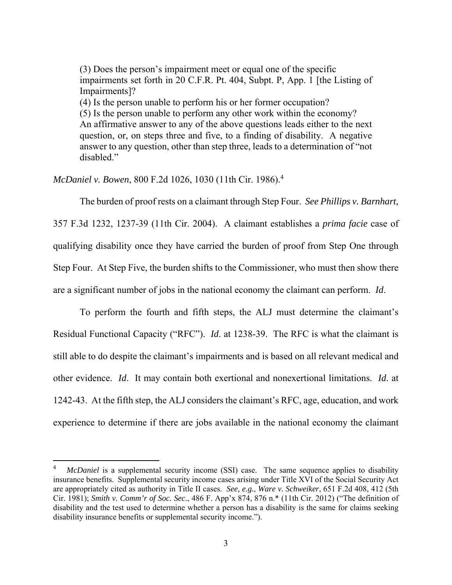(3) Does the person's impairment meet or equal one of the specific impairments set forth in 20 C.F.R. Pt. 404, Subpt. P, App. 1 [the Listing of Impairments]? (4) Is the person unable to perform his or her former occupation? (5) Is the person unable to perform any other work within the economy? An affirmative answer to any of the above questions leads either to the next question, or, on steps three and five, to a finding of disability. A negative answer to any question, other than step three, leads to a determination of "not disabled."

*McDaniel v. Bowen*, 800 F.2d 1026, 1030 (11th Cir. 1986).<sup>4</sup>

 $\overline{a}$ 

 The burden of proof rests on a claimant through Step Four. *See Phillips v. Barnhart*, 357 F.3d 1232, 1237-39 (11th Cir. 2004). A claimant establishes a *prima facie* case of qualifying disability once they have carried the burden of proof from Step One through Step Four. At Step Five, the burden shifts to the Commissioner, who must then show there are a significant number of jobs in the national economy the claimant can perform. *Id*.

 To perform the fourth and fifth steps, the ALJ must determine the claimant's Residual Functional Capacity ("RFC"). *Id*. at 1238-39. The RFC is what the claimant is still able to do despite the claimant's impairments and is based on all relevant medical and other evidence. *Id*. It may contain both exertional and nonexertional limitations. *Id*. at 1242-43. At the fifth step, the ALJ considers the claimant's RFC, age, education, and work experience to determine if there are jobs available in the national economy the claimant

<sup>4</sup> *McDaniel* is a supplemental security income (SSI) case. The same sequence applies to disability insurance benefits. Supplemental security income cases arising under Title XVI of the Social Security Act are appropriately cited as authority in Title II cases. *See, e.g.*, *Ware v. Schweiker*, 651 F.2d 408, 412 (5th Cir. 1981); *Smith v. Comm'r of Soc. Sec.*, 486 F. App'x 874, 876 n.\* (11th Cir. 2012) ("The definition of disability and the test used to determine whether a person has a disability is the same for claims seeking disability insurance benefits or supplemental security income.").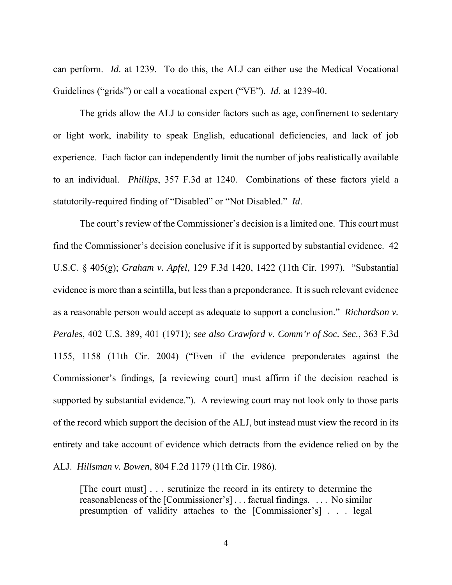can perform. *Id*. at 1239. To do this, the ALJ can either use the Medical Vocational Guidelines ("grids") or call a vocational expert ("VE"). *Id*. at 1239-40.

 The grids allow the ALJ to consider factors such as age, confinement to sedentary or light work, inability to speak English, educational deficiencies, and lack of job experience. Each factor can independently limit the number of jobs realistically available to an individual. *Phillips*, 357 F.3d at 1240. Combinations of these factors yield a statutorily-required finding of "Disabled" or "Not Disabled." *Id*.

 The court's review of the Commissioner's decision is a limited one. This court must find the Commissioner's decision conclusive if it is supported by substantial evidence. 42 U.S.C. § 405(g); *Graham v. Apfel*, 129 F.3d 1420, 1422 (11th Cir. 1997). "Substantial evidence is more than a scintilla, but less than a preponderance. It is such relevant evidence as a reasonable person would accept as adequate to support a conclusion." *Richardson v. Perales*, 402 U.S. 389, 401 (1971); *see also Crawford v. Comm'r of Soc. Sec.*, 363 F.3d 1155, 1158 (11th Cir. 2004) ("Even if the evidence preponderates against the Commissioner's findings, [a reviewing court] must affirm if the decision reached is supported by substantial evidence."). A reviewing court may not look only to those parts of the record which support the decision of the ALJ, but instead must view the record in its entirety and take account of evidence which detracts from the evidence relied on by the ALJ. *Hillsman v. Bowen*, 804 F.2d 1179 (11th Cir. 1986).

[The court must] . . . scrutinize the record in its entirety to determine the reasonableness of the [Commissioner's] . . . factual findings. . . . No similar presumption of validity attaches to the [Commissioner's] . . . legal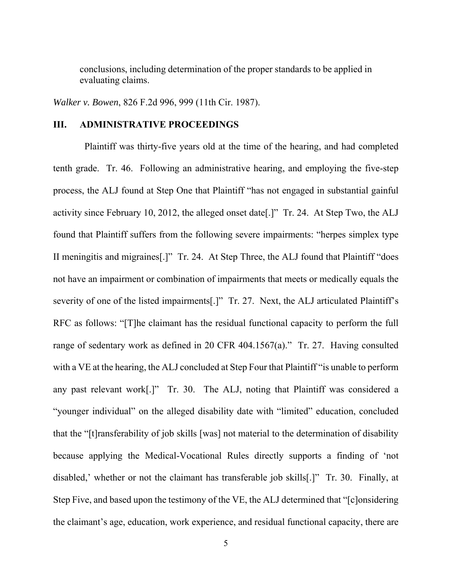conclusions, including determination of the proper standards to be applied in evaluating claims.

*Walker v. Bowen*, 826 F.2d 996, 999 (11th Cir. 1987).

#### **III. ADMINISTRATIVE PROCEEDINGS**

 Plaintiff was thirty-five years old at the time of the hearing, and had completed tenth grade. Tr. 46. Following an administrative hearing, and employing the five-step process, the ALJ found at Step One that Plaintiff "has not engaged in substantial gainful activity since February 10, 2012, the alleged onset date[.]" Tr. 24. At Step Two, the ALJ found that Plaintiff suffers from the following severe impairments: "herpes simplex type II meningitis and migraines[.]" Tr. 24. At Step Three, the ALJ found that Plaintiff "does not have an impairment or combination of impairments that meets or medically equals the severity of one of the listed impairments[.]" Tr. 27. Next, the ALJ articulated Plaintiff's RFC as follows: "[T]he claimant has the residual functional capacity to perform the full range of sedentary work as defined in 20 CFR 404.1567(a)." Tr. 27. Having consulted with a VE at the hearing, the ALJ concluded at Step Four that Plaintiff "is unable to perform any past relevant work[.]" Tr. 30. The ALJ, noting that Plaintiff was considered a "younger individual" on the alleged disability date with "limited" education, concluded that the "[t]ransferability of job skills [was] not material to the determination of disability because applying the Medical-Vocational Rules directly supports a finding of 'not disabled,' whether or not the claimant has transferable job skills[.]" Tr. 30. Finally, at Step Five, and based upon the testimony of the VE, the ALJ determined that "[c]onsidering the claimant's age, education, work experience, and residual functional capacity, there are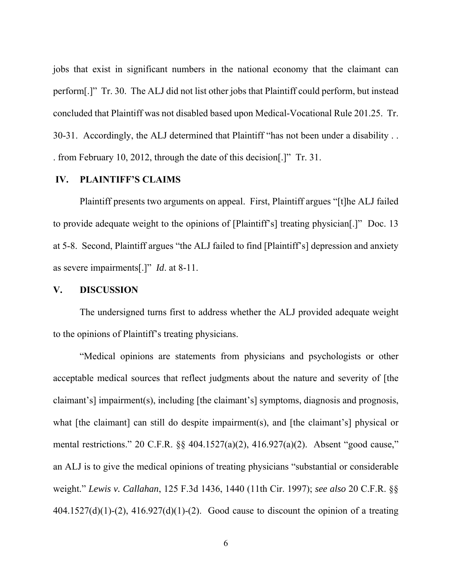jobs that exist in significant numbers in the national economy that the claimant can perform[.]" Tr. 30. The ALJ did not list other jobs that Plaintiff could perform, but instead concluded that Plaintiff was not disabled based upon Medical-Vocational Rule 201.25. Tr. 30-31. Accordingly, the ALJ determined that Plaintiff "has not been under a disability . . . from February 10, 2012, through the date of this decision[.]" Tr. 31.

### **IV. PLAINTIFF'S CLAIMS**

 Plaintiff presents two arguments on appeal. First, Plaintiff argues "[t]he ALJ failed to provide adequate weight to the opinions of [Plaintiff's] treating physician[.]" Doc. 13 at 5-8. Second, Plaintiff argues "the ALJ failed to find [Plaintiff's] depression and anxiety as severe impairments[.]" *Id*. at 8-11.

### **V. DISCUSSION**

The undersigned turns first to address whether the ALJ provided adequate weight to the opinions of Plaintiff's treating physicians.

"Medical opinions are statements from physicians and psychologists or other acceptable medical sources that reflect judgments about the nature and severity of [the claimant's] impairment(s), including [the claimant's] symptoms, diagnosis and prognosis, what [the claimant] can still do despite impairment(s), and [the claimant's] physical or mental restrictions." 20 C.F.R. §§ 404.1527(a)(2), 416.927(a)(2). Absent "good cause," an ALJ is to give the medical opinions of treating physicians "substantial or considerable weight." *Lewis v. Callahan*, 125 F.3d 1436, 1440 (11th Cir. 1997); *see also* 20 C.F.R. §§  $404.1527(d)(1)-(2)$ ,  $416.927(d)(1)-(2)$ . Good cause to discount the opinion of a treating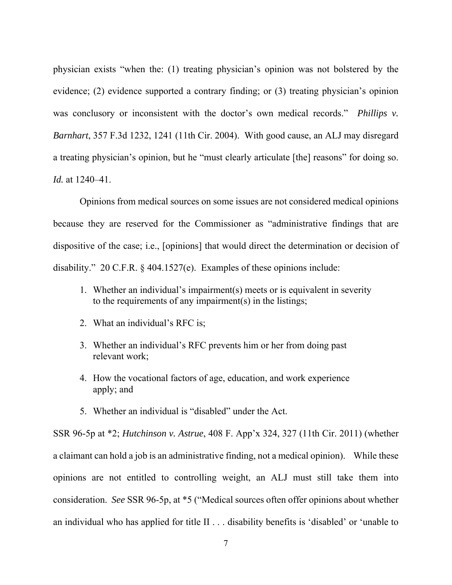physician exists "when the: (1) treating physician's opinion was not bolstered by the evidence; (2) evidence supported a contrary finding; or (3) treating physician's opinion was conclusory or inconsistent with the doctor's own medical records." *Phillips v. Barnhart*, 357 F.3d 1232, 1241 (11th Cir. 2004). With good cause, an ALJ may disregard a treating physician's opinion, but he "must clearly articulate [the] reasons" for doing so. *Id.* at 1240–41.

 Opinions from medical sources on some issues are not considered medical opinions because they are reserved for the Commissioner as "administrative findings that are dispositive of the case; i.e., [opinions] that would direct the determination or decision of disability." 20 C.F.R. § 404.1527(e). Examples of these opinions include:

- 1. Whether an individual's impairment(s) meets or is equivalent in severity to the requirements of any impairment(s) in the listings;
- 2. What an individual's RFC is;
- 3. Whether an individual's RFC prevents him or her from doing past relevant work;
- 4. How the vocational factors of age, education, and work experience apply; and
- 5. Whether an individual is "disabled" under the Act.

SSR 96-5p at \*2; *Hutchinson v. Astrue*, 408 F. App'x 324, 327 (11th Cir. 2011) (whether a claimant can hold a job is an administrative finding, not a medical opinion). While these opinions are not entitled to controlling weight, an ALJ must still take them into consideration. *See* SSR 96-5p, at \*5 ("Medical sources often offer opinions about whether an individual who has applied for title II . . . disability benefits is 'disabled' or 'unable to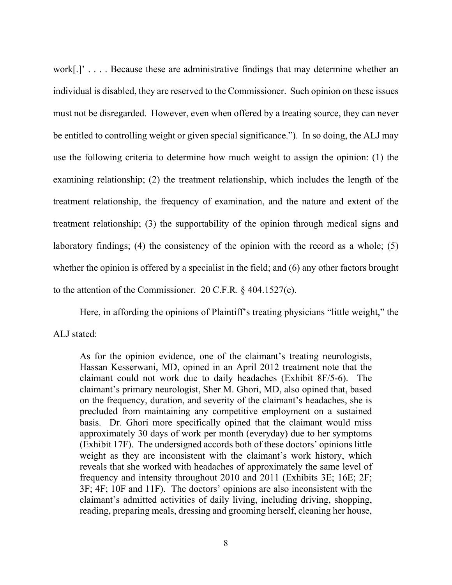work[.]' . . . . Because these are administrative findings that may determine whether an individual is disabled, they are reserved to the Commissioner. Such opinion on these issues must not be disregarded. However, even when offered by a treating source, they can never be entitled to controlling weight or given special significance."). In so doing, the ALJ may use the following criteria to determine how much weight to assign the opinion: (1) the examining relationship; (2) the treatment relationship, which includes the length of the treatment relationship, the frequency of examination, and the nature and extent of the treatment relationship; (3) the supportability of the opinion through medical signs and laboratory findings; (4) the consistency of the opinion with the record as a whole; (5) whether the opinion is offered by a specialist in the field; and (6) any other factors brought to the attention of the Commissioner. 20 C.F.R. § 404.1527(c).

Here, in affording the opinions of Plaintiff's treating physicians "little weight," the

ALJ stated:

As for the opinion evidence, one of the claimant's treating neurologists, Hassan Kesserwani, MD, opined in an April 2012 treatment note that the claimant could not work due to daily headaches (Exhibit 8F/5-6). The claimant's primary neurologist, Sher M. Ghori, MD, also opined that, based on the frequency, duration, and severity of the claimant's headaches, she is precluded from maintaining any competitive employment on a sustained basis. Dr. Ghori more specifically opined that the claimant would miss approximately 30 days of work per month (everyday) due to her symptoms (Exhibit 17F). The undersigned accords both of these doctors' opinions little weight as they are inconsistent with the claimant's work history, which reveals that she worked with headaches of approximately the same level of frequency and intensity throughout 2010 and 2011 (Exhibits 3E; 16E; 2F; 3F; 4F; 10F and 11F). The doctors' opinions are also inconsistent with the claimant's admitted activities of daily living, including driving, shopping, reading, preparing meals, dressing and grooming herself, cleaning her house,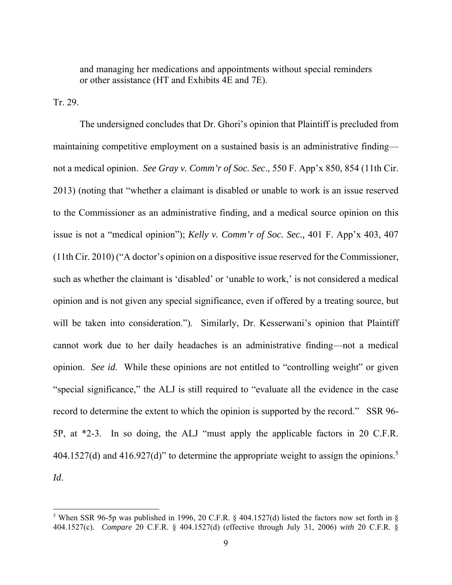and managing her medications and appointments without special reminders or other assistance (HT and Exhibits 4E and 7E).

Tr. 29.

 $\overline{a}$ 

 The undersigned concludes that Dr. Ghori's opinion that Plaintiff is precluded from maintaining competitive employment on a sustained basis is an administrative finding not a medical opinion. *See Gray v. Comm'r of Soc. Sec*., 550 F. App'x 850, 854 (11th Cir. 2013) (noting that "whether a claimant is disabled or unable to work is an issue reserved to the Commissioner as an administrative finding, and a medical source opinion on this issue is not a "medical opinion"); *Kelly v. Comm'r of Soc. Sec.,* 401 F. App'x 403, 407 (11th Cir. 2010) ("A doctor's opinion on a dispositive issue reserved for the Commissioner, such as whether the claimant is 'disabled' or 'unable to work,' is not considered a medical opinion and is not given any special significance, even if offered by a treating source, but will be taken into consideration."). Similarly, Dr. Kesserwani's opinion that Plaintiff cannot work due to her daily headaches is an administrative finding—not a medical opinion. *See id*. While these opinions are not entitled to "controlling weight" or given "special significance," the ALJ is still required to "evaluate all the evidence in the case record to determine the extent to which the opinion is supported by the record." SSR 96- 5P, at \*2-3. In so doing, the ALJ "must apply the applicable factors in 20 C.F.R. 404.1527(d) and 416.927(d)" to determine the appropriate weight to assign the opinions.<sup>5</sup> *Id*.

<sup>&</sup>lt;sup>5</sup> When SSR 96-5p was published in 1996, 20 C.F.R. § 404.1527(d) listed the factors now set forth in § 404.1527(c). *Compare* 20 C.F.R. § 404.1527(d) (effective through July 31, 2006) *with* 20 C.F.R. §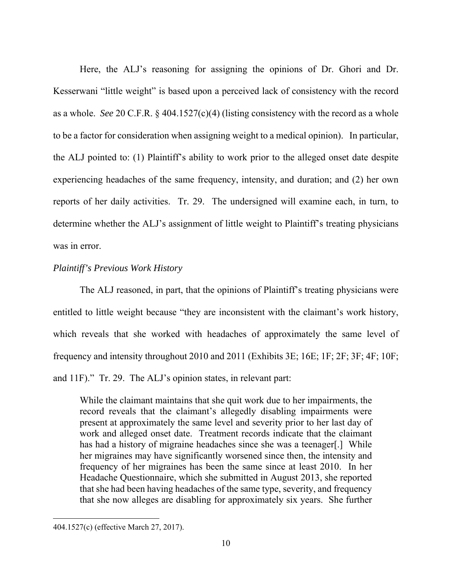Here, the ALJ's reasoning for assigning the opinions of Dr. Ghori and Dr. Kesserwani "little weight" is based upon a perceived lack of consistency with the record as a whole. *See* 20 C.F.R. § 404.1527(c)(4) (listing consistency with the record as a whole to be a factor for consideration when assigning weight to a medical opinion). In particular, the ALJ pointed to: (1) Plaintiff's ability to work prior to the alleged onset date despite experiencing headaches of the same frequency, intensity, and duration; and (2) her own reports of her daily activities. Tr. 29. The undersigned will examine each, in turn, to determine whether the ALJ's assignment of little weight to Plaintiff's treating physicians was in error.

## *Plaintiff's Previous Work History*

The ALJ reasoned, in part, that the opinions of Plaintiff's treating physicians were entitled to little weight because "they are inconsistent with the claimant's work history, which reveals that she worked with headaches of approximately the same level of frequency and intensity throughout 2010 and 2011 (Exhibits 3E; 16E; 1F; 2F; 3F; 4F; 10F; and 11F)." Tr. 29. The ALJ's opinion states, in relevant part:

While the claimant maintains that she quit work due to her impairments, the record reveals that the claimant's allegedly disabling impairments were present at approximately the same level and severity prior to her last day of work and alleged onset date. Treatment records indicate that the claimant has had a history of migraine headaches since she was a teenager[.] While her migraines may have significantly worsened since then, the intensity and frequency of her migraines has been the same since at least 2010. In her Headache Questionnaire, which she submitted in August 2013, she reported that she had been having headaches of the same type, severity, and frequency that she now alleges are disabling for approximately six years. She further

-

<sup>404.1527(</sup>c) (effective March 27, 2017).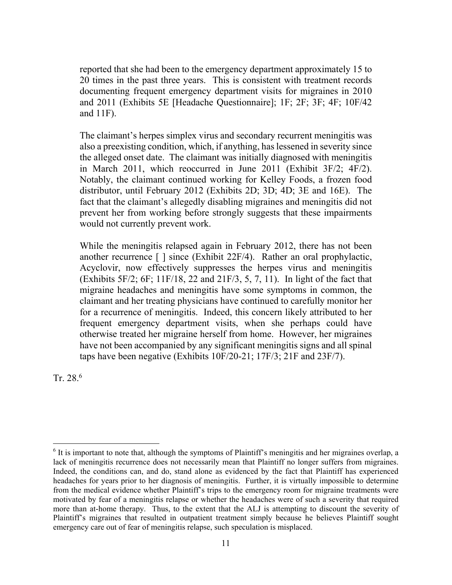reported that she had been to the emergency department approximately 15 to 20 times in the past three years. This is consistent with treatment records documenting frequent emergency department visits for migraines in 2010 and 2011 (Exhibits 5E [Headache Questionnaire]; 1F; 2F; 3F; 4F; 10F/42 and 11F).

The claimant's herpes simplex virus and secondary recurrent meningitis was also a preexisting condition, which, if anything, has lessened in severity since the alleged onset date. The claimant was initially diagnosed with meningitis in March 2011, which reoccurred in June 2011 (Exhibit 3F/2; 4F/2). Notably, the claimant continued working for Kelley Foods, a frozen food distributor, until February 2012 (Exhibits 2D; 3D; 4D; 3E and 16E). The fact that the claimant's allegedly disabling migraines and meningitis did not prevent her from working before strongly suggests that these impairments would not currently prevent work.

While the meningitis relapsed again in February 2012, there has not been another recurrence [ ] since (Exhibit 22F/4). Rather an oral prophylactic, Acyclovir, now effectively suppresses the herpes virus and meningitis (Exhibits 5F/2; 6F; 11F/18, 22 and 21F/3, 5, 7, 11). In light of the fact that migraine headaches and meningitis have some symptoms in common, the claimant and her treating physicians have continued to carefully monitor her for a recurrence of meningitis. Indeed, this concern likely attributed to her frequent emergency department visits, when she perhaps could have otherwise treated her migraine herself from home. However, her migraines have not been accompanied by any significant meningitis signs and all spinal taps have been negative (Exhibits 10F/20-21; 17F/3; 21F and 23F/7).

Tr. 28. $^6$ 

 $\overline{a}$ <sup>6</sup> It is important to note that, although the symptoms of Plaintiff's meningitis and her migraines overlap, a lack of meningitis recurrence does not necessarily mean that Plaintiff no longer suffers from migraines. Indeed, the conditions can, and do, stand alone as evidenced by the fact that Plaintiff has experienced headaches for years prior to her diagnosis of meningitis. Further, it is virtually impossible to determine from the medical evidence whether Plaintiff's trips to the emergency room for migraine treatments were motivated by fear of a meningitis relapse or whether the headaches were of such a severity that required more than at-home therapy. Thus, to the extent that the ALJ is attempting to discount the severity of Plaintiff's migraines that resulted in outpatient treatment simply because he believes Plaintiff sought emergency care out of fear of meningitis relapse, such speculation is misplaced.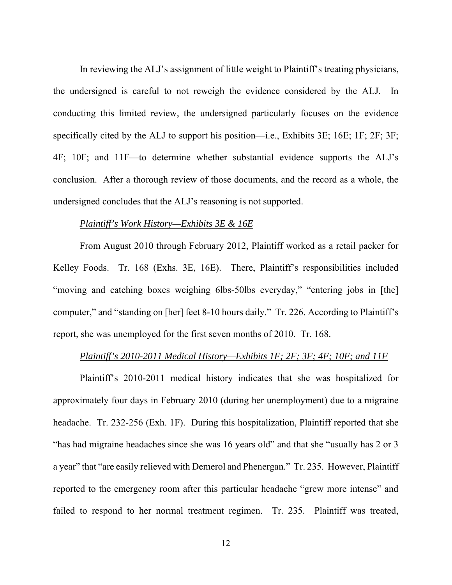In reviewing the ALJ's assignment of little weight to Plaintiff's treating physicians, the undersigned is careful to not reweigh the evidence considered by the ALJ. In conducting this limited review, the undersigned particularly focuses on the evidence specifically cited by the ALJ to support his position—i.e., Exhibits 3E; 16E; 1F; 2F; 3F; 4F; 10F; and 11F—to determine whether substantial evidence supports the ALJ's conclusion. After a thorough review of those documents, and the record as a whole, the undersigned concludes that the ALJ's reasoning is not supported.

### *Plaintiff's Work History—Exhibits 3E & 16E*

From August 2010 through February 2012, Plaintiff worked as a retail packer for Kelley Foods. Tr. 168 (Exhs. 3E, 16E). There, Plaintiff's responsibilities included "moving and catching boxes weighing 6lbs-50lbs everyday," "entering jobs in [the] computer," and "standing on [her] feet 8-10 hours daily." Tr. 226. According to Plaintiff's report, she was unemployed for the first seven months of 2010. Tr. 168.

#### *Plaintiff's 2010-2011 Medical History—Exhibits 1F; 2F; 3F; 4F; 10F; and 11F*

Plaintiff's 2010-2011 medical history indicates that she was hospitalized for approximately four days in February 2010 (during her unemployment) due to a migraine headache. Tr. 232-256 (Exh. 1F). During this hospitalization, Plaintiff reported that she "has had migraine headaches since she was 16 years old" and that she "usually has 2 or 3 a year" that "are easily relieved with Demerol and Phenergan." Tr. 235. However, Plaintiff reported to the emergency room after this particular headache "grew more intense" and failed to respond to her normal treatment regimen. Tr. 235. Plaintiff was treated,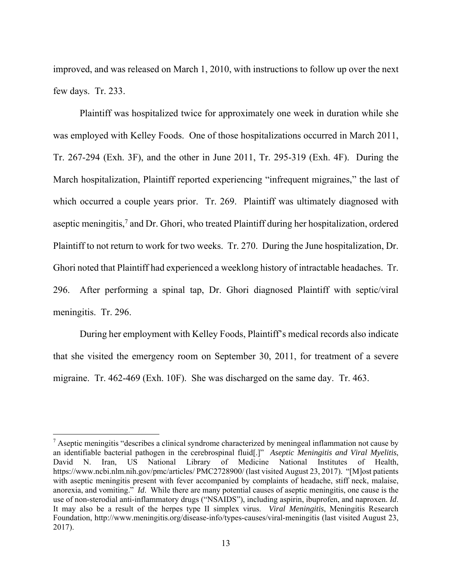improved, and was released on March 1, 2010, with instructions to follow up over the next few days. Tr. 233.

Plaintiff was hospitalized twice for approximately one week in duration while she was employed with Kelley Foods. One of those hospitalizations occurred in March 2011, Tr. 267-294 (Exh. 3F), and the other in June 2011, Tr. 295-319 (Exh. 4F). During the March hospitalization, Plaintiff reported experiencing "infrequent migraines," the last of which occurred a couple years prior. Tr. 269. Plaintiff was ultimately diagnosed with aseptic meningitis,<sup>7</sup> and Dr. Ghori, who treated Plaintiff during her hospitalization, ordered Plaintiff to not return to work for two weeks. Tr. 270. During the June hospitalization, Dr. Ghori noted that Plaintiff had experienced a weeklong history of intractable headaches. Tr. 296. After performing a spinal tap, Dr. Ghori diagnosed Plaintiff with septic/viral meningitis. Tr. 296.

During her employment with Kelley Foods, Plaintiff's medical records also indicate that she visited the emergency room on September 30, 2011, for treatment of a severe migraine. Tr. 462-469 (Exh. 10F). She was discharged on the same day. Tr. 463.

<u>.</u>

<sup>&</sup>lt;sup>7</sup> Aseptic meningitis "describes a clinical syndrome characterized by meningeal inflammation not cause by an identifiable bacterial pathogen in the cerebrospinal fluid[.]" *Aseptic Meningitis and Viral Myelitis*, David N. Iran, US National Library of Medicine National Institutes of Health, https://www.ncbi.nlm.nih.gov/pmc/articles/ PMC2728900/ (last visited August 23, 2017). "[M]ost patients with aseptic meningitis present with fever accompanied by complaints of headache, stiff neck, malaise, anorexia, and vomiting." *Id*. While there are many potential causes of aseptic meningitis, one cause is the use of non-sterodial anti-inflammatory drugs ("NSAIDS"), including aspirin, ibuprofen, and naproxen. *Id*. It may also be a result of the herpes type II simplex virus. *Viral Meningitis*, Meningitis Research Foundation, http://www.meningitis.org/disease-info/types-causes/viral-meningitis (last visited August 23, 2017).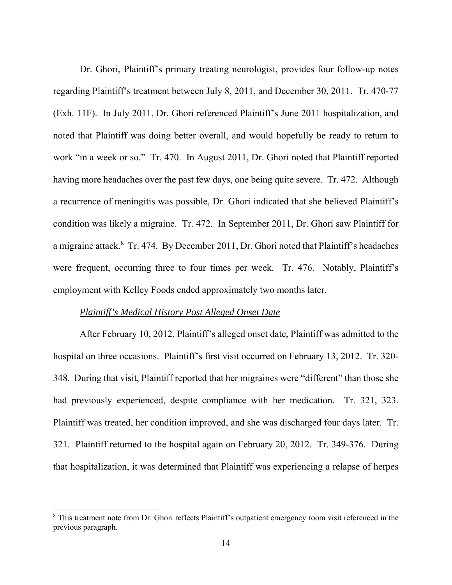Dr. Ghori, Plaintiff's primary treating neurologist, provides four follow-up notes regarding Plaintiff's treatment between July 8, 2011, and December 30, 2011. Tr. 470-77 (Exh. 11F). In July 2011, Dr. Ghori referenced Plaintiff's June 2011 hospitalization, and noted that Plaintiff was doing better overall, and would hopefully be ready to return to work "in a week or so." Tr. 470. In August 2011, Dr. Ghori noted that Plaintiff reported having more headaches over the past few days, one being quite severe. Tr. 472. Although a recurrence of meningitis was possible, Dr. Ghori indicated that she believed Plaintiff's condition was likely a migraine. Tr. 472. In September 2011, Dr. Ghori saw Plaintiff for a migraine attack.<sup>8</sup> Tr. 474. By December 2011, Dr. Ghori noted that Plaintiff's headaches were frequent, occurring three to four times per week. Tr. 476. Notably, Plaintiff's employment with Kelley Foods ended approximately two months later.

#### *Plaintiff's Medical History Post Alleged Onset Date*

<u>.</u>

After February 10, 2012, Plaintiff's alleged onset date, Plaintiff was admitted to the hospital on three occasions. Plaintiff's first visit occurred on February 13, 2012. Tr. 320- 348. During that visit, Plaintiff reported that her migraines were "different" than those she had previously experienced, despite compliance with her medication. Tr. 321, 323. Plaintiff was treated, her condition improved, and she was discharged four days later. Tr. 321. Plaintiff returned to the hospital again on February 20, 2012. Tr. 349-376. During that hospitalization, it was determined that Plaintiff was experiencing a relapse of herpes

<sup>&</sup>lt;sup>8</sup> This treatment note from Dr. Ghori reflects Plaintiff's outpatient emergency room visit referenced in the previous paragraph.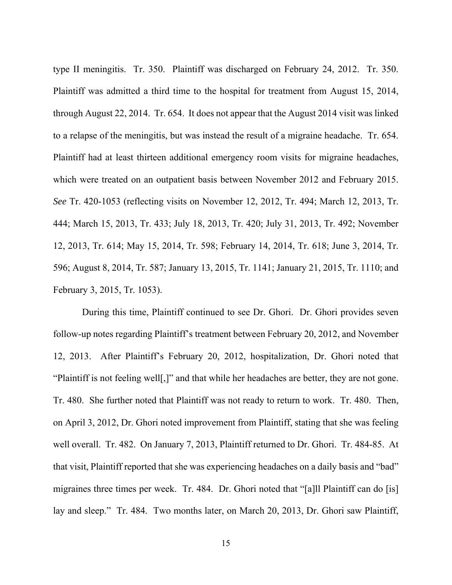type II meningitis. Tr. 350. Plaintiff was discharged on February 24, 2012. Tr. 350. Plaintiff was admitted a third time to the hospital for treatment from August 15, 2014, through August 22, 2014. Tr. 654. It does not appear that the August 2014 visit was linked to a relapse of the meningitis, but was instead the result of a migraine headache. Tr. 654. Plaintiff had at least thirteen additional emergency room visits for migraine headaches, which were treated on an outpatient basis between November 2012 and February 2015. *See* Tr. 420-1053 (reflecting visits on November 12, 2012, Tr. 494; March 12, 2013, Tr. 444; March 15, 2013, Tr. 433; July 18, 2013, Tr. 420; July 31, 2013, Tr. 492; November 12, 2013, Tr. 614; May 15, 2014, Tr. 598; February 14, 2014, Tr. 618; June 3, 2014, Tr. 596; August 8, 2014, Tr. 587; January 13, 2015, Tr. 1141; January 21, 2015, Tr. 1110; and February 3, 2015, Tr. 1053).

 During this time, Plaintiff continued to see Dr. Ghori. Dr. Ghori provides seven follow-up notes regarding Plaintiff's treatment between February 20, 2012, and November 12, 2013. After Plaintiff's February 20, 2012, hospitalization, Dr. Ghori noted that "Plaintiff is not feeling well[,]" and that while her headaches are better, they are not gone. Tr. 480. She further noted that Plaintiff was not ready to return to work. Tr. 480. Then, on April 3, 2012, Dr. Ghori noted improvement from Plaintiff, stating that she was feeling well overall. Tr. 482. On January 7, 2013, Plaintiff returned to Dr. Ghori. Tr. 484-85. At that visit, Plaintiff reported that she was experiencing headaches on a daily basis and "bad" migraines three times per week. Tr. 484. Dr. Ghori noted that "[a]ll Plaintiff can do [is] lay and sleep." Tr. 484. Two months later, on March 20, 2013, Dr. Ghori saw Plaintiff,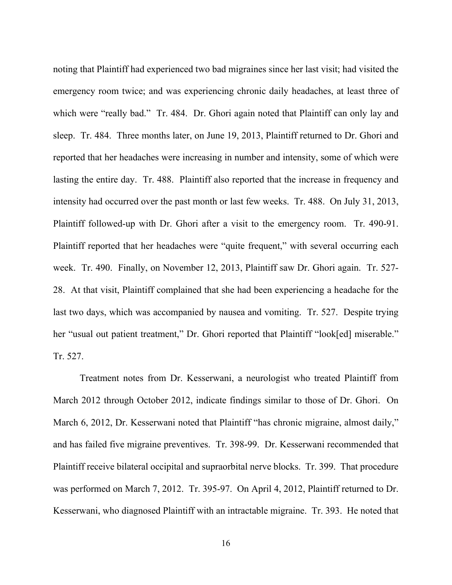noting that Plaintiff had experienced two bad migraines since her last visit; had visited the emergency room twice; and was experiencing chronic daily headaches, at least three of which were "really bad." Tr. 484. Dr. Ghori again noted that Plaintiff can only lay and sleep. Tr. 484. Three months later, on June 19, 2013, Plaintiff returned to Dr. Ghori and reported that her headaches were increasing in number and intensity, some of which were lasting the entire day. Tr. 488. Plaintiff also reported that the increase in frequency and intensity had occurred over the past month or last few weeks. Tr. 488. On July 31, 2013, Plaintiff followed-up with Dr. Ghori after a visit to the emergency room. Tr. 490-91. Plaintiff reported that her headaches were "quite frequent," with several occurring each week. Tr. 490. Finally, on November 12, 2013, Plaintiff saw Dr. Ghori again. Tr. 527- 28. At that visit, Plaintiff complained that she had been experiencing a headache for the last two days, which was accompanied by nausea and vomiting. Tr. 527. Despite trying her "usual out patient treatment," Dr. Ghori reported that Plaintiff "look[ed] miserable." Tr. 527.

Treatment notes from Dr. Kesserwani, a neurologist who treated Plaintiff from March 2012 through October 2012, indicate findings similar to those of Dr. Ghori. On March 6, 2012, Dr. Kesserwani noted that Plaintiff "has chronic migraine, almost daily," and has failed five migraine preventives. Tr. 398-99. Dr. Kesserwani recommended that Plaintiff receive bilateral occipital and supraorbital nerve blocks. Tr. 399. That procedure was performed on March 7, 2012. Tr. 395-97. On April 4, 2012, Plaintiff returned to Dr. Kesserwani, who diagnosed Plaintiff with an intractable migraine. Tr. 393. He noted that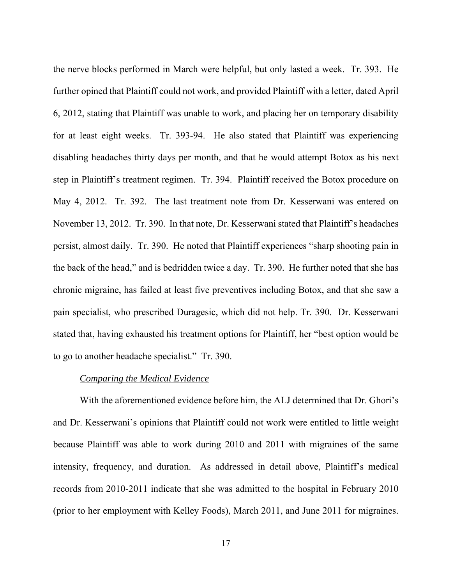the nerve blocks performed in March were helpful, but only lasted a week. Tr. 393. He further opined that Plaintiff could not work, and provided Plaintiff with a letter, dated April 6, 2012, stating that Plaintiff was unable to work, and placing her on temporary disability for at least eight weeks. Tr. 393-94. He also stated that Plaintiff was experiencing disabling headaches thirty days per month, and that he would attempt Botox as his next step in Plaintiff's treatment regimen. Tr. 394. Plaintiff received the Botox procedure on May 4, 2012. Tr. 392. The last treatment note from Dr. Kesserwani was entered on November 13, 2012. Tr. 390. In that note, Dr. Kesserwani stated that Plaintiff's headaches persist, almost daily. Tr. 390. He noted that Plaintiff experiences "sharp shooting pain in the back of the head," and is bedridden twice a day. Tr. 390. He further noted that she has chronic migraine, has failed at least five preventives including Botox, and that she saw a pain specialist, who prescribed Duragesic, which did not help. Tr. 390. Dr. Kesserwani stated that, having exhausted his treatment options for Plaintiff, her "best option would be to go to another headache specialist." Tr. 390.

#### *Comparing the Medical Evidence*

With the aforementioned evidence before him, the ALJ determined that Dr. Ghori's and Dr. Kesserwani's opinions that Plaintiff could not work were entitled to little weight because Plaintiff was able to work during 2010 and 2011 with migraines of the same intensity, frequency, and duration. As addressed in detail above, Plaintiff's medical records from 2010-2011 indicate that she was admitted to the hospital in February 2010 (prior to her employment with Kelley Foods), March 2011, and June 2011 for migraines.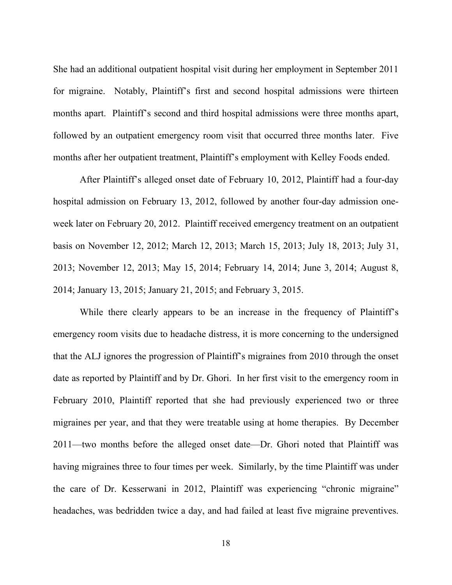She had an additional outpatient hospital visit during her employment in September 2011 for migraine. Notably, Plaintiff's first and second hospital admissions were thirteen months apart. Plaintiff's second and third hospital admissions were three months apart, followed by an outpatient emergency room visit that occurred three months later. Five months after her outpatient treatment, Plaintiff's employment with Kelley Foods ended.

After Plaintiff's alleged onset date of February 10, 2012, Plaintiff had a four-day hospital admission on February 13, 2012, followed by another four-day admission oneweek later on February 20, 2012. Plaintiff received emergency treatment on an outpatient basis on November 12, 2012; March 12, 2013; March 15, 2013; July 18, 2013; July 31, 2013; November 12, 2013; May 15, 2014; February 14, 2014; June 3, 2014; August 8, 2014; January 13, 2015; January 21, 2015; and February 3, 2015.

While there clearly appears to be an increase in the frequency of Plaintiff's emergency room visits due to headache distress, it is more concerning to the undersigned that the ALJ ignores the progression of Plaintiff's migraines from 2010 through the onset date as reported by Plaintiff and by Dr. Ghori. In her first visit to the emergency room in February 2010, Plaintiff reported that she had previously experienced two or three migraines per year, and that they were treatable using at home therapies. By December 2011—two months before the alleged onset date—Dr. Ghori noted that Plaintiff was having migraines three to four times per week. Similarly, by the time Plaintiff was under the care of Dr. Kesserwani in 2012, Plaintiff was experiencing "chronic migraine" headaches, was bedridden twice a day, and had failed at least five migraine preventives.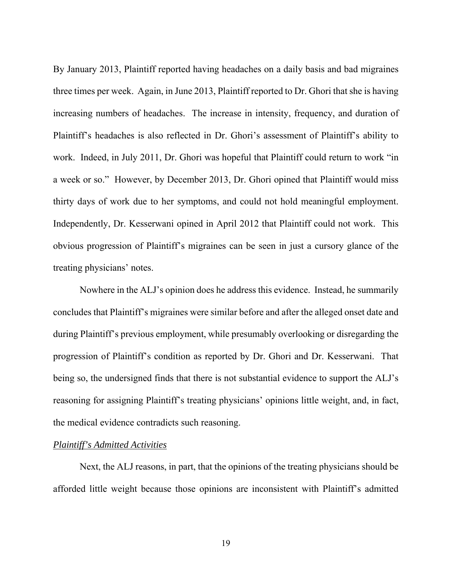By January 2013, Plaintiff reported having headaches on a daily basis and bad migraines three times per week. Again, in June 2013, Plaintiff reported to Dr. Ghori that she is having increasing numbers of headaches. The increase in intensity, frequency, and duration of Plaintiff's headaches is also reflected in Dr. Ghori's assessment of Plaintiff's ability to work. Indeed, in July 2011, Dr. Ghori was hopeful that Plaintiff could return to work "in a week or so." However, by December 2013, Dr. Ghori opined that Plaintiff would miss thirty days of work due to her symptoms, and could not hold meaningful employment. Independently, Dr. Kesserwani opined in April 2012 that Plaintiff could not work. This obvious progression of Plaintiff's migraines can be seen in just a cursory glance of the treating physicians' notes.

Nowhere in the ALJ's opinion does he address this evidence. Instead, he summarily concludes that Plaintiff's migraines were similar before and after the alleged onset date and during Plaintiff's previous employment, while presumably overlooking or disregarding the progression of Plaintiff's condition as reported by Dr. Ghori and Dr. Kesserwani. That being so, the undersigned finds that there is not substantial evidence to support the ALJ's reasoning for assigning Plaintiff's treating physicians' opinions little weight, and, in fact, the medical evidence contradicts such reasoning.

## *Plaintiff's Admitted Activities*

Next, the ALJ reasons, in part, that the opinions of the treating physicians should be afforded little weight because those opinions are inconsistent with Plaintiff's admitted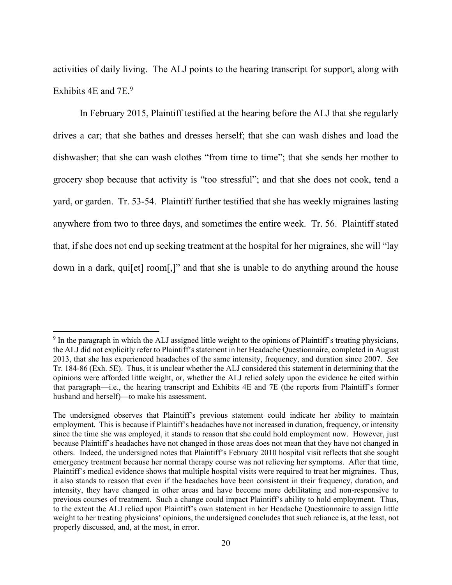activities of daily living. The ALJ points to the hearing transcript for support, along with Exhibits 4E and 7E.<sup>9</sup>

In February 2015, Plaintiff testified at the hearing before the ALJ that she regularly drives a car; that she bathes and dresses herself; that she can wash dishes and load the dishwasher; that she can wash clothes "from time to time"; that she sends her mother to grocery shop because that activity is "too stressful"; and that she does not cook, tend a yard, or garden. Tr. 53-54. Plaintiff further testified that she has weekly migraines lasting anywhere from two to three days, and sometimes the entire week. Tr. 56. Plaintiff stated that, if she does not end up seeking treatment at the hospital for her migraines, she will "lay down in a dark, qui[et] room[,]" and that she is unable to do anything around the house

<u>.</u>

<sup>&</sup>lt;sup>9</sup> In the paragraph in which the ALJ assigned little weight to the opinions of Plaintiff's treating physicians, the ALJ did not explicitly refer to Plaintiff's statement in her Headache Questionnaire, completed in August 2013, that she has experienced headaches of the same intensity, frequency, and duration since 2007. *See* Tr. 184-86 (Exh. 5E). Thus, it is unclear whether the ALJ considered this statement in determining that the opinions were afforded little weight, or, whether the ALJ relied solely upon the evidence he cited within that paragraph—i.e., the hearing transcript and Exhibits 4E and 7E (the reports from Plaintiff's former husband and herself)—to make his assessment.

The undersigned observes that Plaintiff's previous statement could indicate her ability to maintain employment. This is because if Plaintiff's headaches have not increased in duration, frequency, or intensity since the time she was employed, it stands to reason that she could hold employment now. However, just because Plaintiff's headaches have not changed in those areas does not mean that they have not changed in others. Indeed, the undersigned notes that Plaintiff's February 2010 hospital visit reflects that she sought emergency treatment because her normal therapy course was not relieving her symptoms. After that time, Plaintiff's medical evidence shows that multiple hospital visits were required to treat her migraines. Thus, it also stands to reason that even if the headaches have been consistent in their frequency, duration, and intensity, they have changed in other areas and have become more debilitating and non-responsive to previous courses of treatment. Such a change could impact Plaintiff's ability to hold employment. Thus, to the extent the ALJ relied upon Plaintiff's own statement in her Headache Questionnaire to assign little weight to her treating physicians' opinions, the undersigned concludes that such reliance is, at the least, not properly discussed, and, at the most, in error.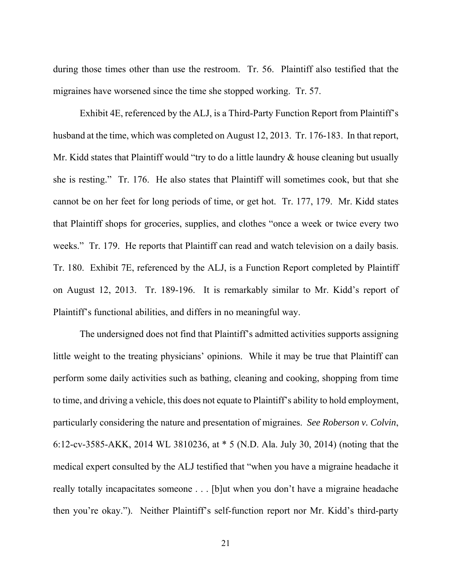during those times other than use the restroom. Tr. 56. Plaintiff also testified that the migraines have worsened since the time she stopped working. Tr. 57.

Exhibit 4E, referenced by the ALJ, is a Third-Party Function Report from Plaintiff's husband at the time, which was completed on August 12, 2013. Tr. 176-183. In that report, Mr. Kidd states that Plaintiff would "try to do a little laundry & house cleaning but usually she is resting." Tr. 176. He also states that Plaintiff will sometimes cook, but that she cannot be on her feet for long periods of time, or get hot. Tr. 177, 179. Mr. Kidd states that Plaintiff shops for groceries, supplies, and clothes "once a week or twice every two weeks." Tr. 179. He reports that Plaintiff can read and watch television on a daily basis. Tr. 180. Exhibit 7E, referenced by the ALJ, is a Function Report completed by Plaintiff on August 12, 2013. Tr. 189-196. It is remarkably similar to Mr. Kidd's report of Plaintiff's functional abilities, and differs in no meaningful way.

The undersigned does not find that Plaintiff's admitted activities supports assigning little weight to the treating physicians' opinions. While it may be true that Plaintiff can perform some daily activities such as bathing, cleaning and cooking, shopping from time to time, and driving a vehicle, this does not equate to Plaintiff's ability to hold employment, particularly considering the nature and presentation of migraines. *See Roberson v. Colvin*, 6:12-cv-3585-AKK, 2014 WL 3810236, at \* 5 (N.D. Ala. July 30, 2014) (noting that the medical expert consulted by the ALJ testified that "when you have a migraine headache it really totally incapacitates someone . . . [b]ut when you don't have a migraine headache then you're okay."). Neither Plaintiff's self-function report nor Mr. Kidd's third-party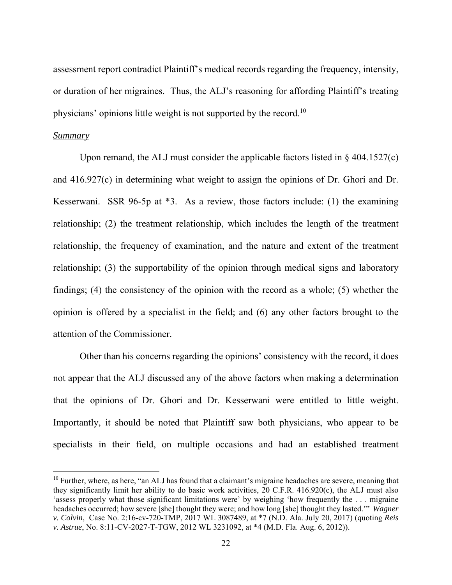assessment report contradict Plaintiff's medical records regarding the frequency, intensity, or duration of her migraines. Thus, the ALJ's reasoning for affording Plaintiff's treating physicians' opinions little weight is not supported by the record.<sup>10</sup>

## *Summary*

<u>.</u>

 Upon remand, the ALJ must consider the applicable factors listed in § 404.1527(c) and 416.927(c) in determining what weight to assign the opinions of Dr. Ghori and Dr. Kesserwani. SSR 96-5p at \*3. As a review, those factors include: (1) the examining relationship; (2) the treatment relationship, which includes the length of the treatment relationship, the frequency of examination, and the nature and extent of the treatment relationship; (3) the supportability of the opinion through medical signs and laboratory findings; (4) the consistency of the opinion with the record as a whole; (5) whether the opinion is offered by a specialist in the field; and (6) any other factors brought to the attention of the Commissioner.

Other than his concerns regarding the opinions' consistency with the record, it does not appear that the ALJ discussed any of the above factors when making a determination that the opinions of Dr. Ghori and Dr. Kesserwani were entitled to little weight. Importantly, it should be noted that Plaintiff saw both physicians, who appear to be specialists in their field, on multiple occasions and had an established treatment

 $10$  Further, where, as here, "an ALJ has found that a claimant's migraine headaches are severe, meaning that they significantly limit her ability to do basic work activities, 20 C.F.R. 416.920(c), the ALJ must also 'assess properly what those significant limitations were' by weighing 'how frequently the . . . migraine headaches occurred; how severe [she] thought they were; and how long [she] thought they lasted.'" *Wagner v. Colvin*, Case No. 2:16-cv-720-TMP, 2017 WL 3087489, at \*7 (N.D. Ala. July 20, 2017) (quoting *Reis v. Astrue*, No. 8:11-CV-2027-T-TGW, 2012 WL 3231092, at \*4 (M.D. Fla. Aug. 6, 2012)).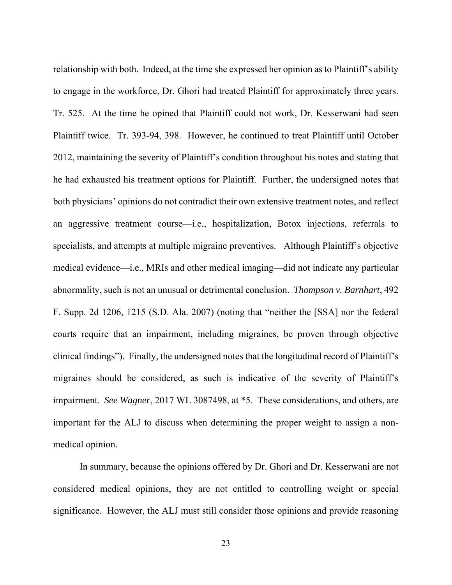relationship with both. Indeed, at the time she expressed her opinion as to Plaintiff's ability to engage in the workforce, Dr. Ghori had treated Plaintiff for approximately three years. Tr. 525. At the time he opined that Plaintiff could not work, Dr. Kesserwani had seen Plaintiff twice. Tr. 393-94, 398. However, he continued to treat Plaintiff until October 2012, maintaining the severity of Plaintiff's condition throughout his notes and stating that he had exhausted his treatment options for Plaintiff. Further, the undersigned notes that both physicians' opinions do not contradict their own extensive treatment notes, and reflect an aggressive treatment course—i.e., hospitalization, Botox injections, referrals to specialists, and attempts at multiple migraine preventives. Although Plaintiff's objective medical evidence—i.e., MRIs and other medical imaging—did not indicate any particular abnormality, such is not an unusual or detrimental conclusion. *Thompson v. Barnhart*, 492 F. Supp. 2d 1206, 1215 (S.D. Ala. 2007) (noting that "neither the [SSA] nor the federal courts require that an impairment, including migraines, be proven through objective clinical findings"). Finally, the undersigned notes that the longitudinal record of Plaintiff's migraines should be considered, as such is indicative of the severity of Plaintiff's impairment. *See Wagner*, 2017 WL 3087498, at \*5. These considerations, and others, are important for the ALJ to discuss when determining the proper weight to assign a nonmedical opinion.

 In summary, because the opinions offered by Dr. Ghori and Dr. Kesserwani are not considered medical opinions, they are not entitled to controlling weight or special significance. However, the ALJ must still consider those opinions and provide reasoning